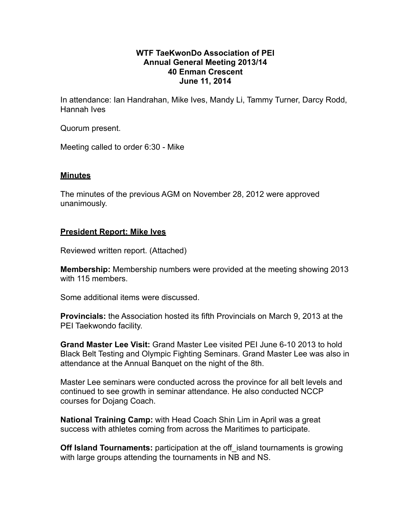# **WTF TaeKwonDo Association of PEI Annual General Meeting 2013/14 40 Enman Crescent June 11, 2014**

In attendance: Ian Handrahan, Mike Ives, Mandy Li, Tammy Turner, Darcy Rodd, Hannah Ives

Quorum present.

Meeting called to order 6:30 - Mike

# **Minutes**

The minutes of the previous AGM on November 28, 2012 were approved unanimously.

# **President Report: Mike Ives**

Reviewed written report. (Attached)

**Membership:** Membership numbers were provided at the meeting showing 2013 with 115 members.

Some additional items were discussed.

**Provincials:** the Association hosted its fifth Provincials on March 9, 2013 at the PEI Taekwondo facility.

**Grand Master Lee Visit:** Grand Master Lee visited PEI June 6-10 2013 to hold Black Belt Testing and Olympic Fighting Seminars. Grand Master Lee was also in attendance at the Annual Banquet on the night of the 8th.

Master Lee seminars were conducted across the province for all belt levels and continued to see growth in seminar attendance. He also conducted NCCP courses for Dojang Coach.

**National Training Camp:** with Head Coach Shin Lim in April was a great success with athletes coming from across the Maritimes to participate.

**Off Island Tournaments:** participation at the off island tournaments is growing with large groups attending the tournaments in NB and NS.